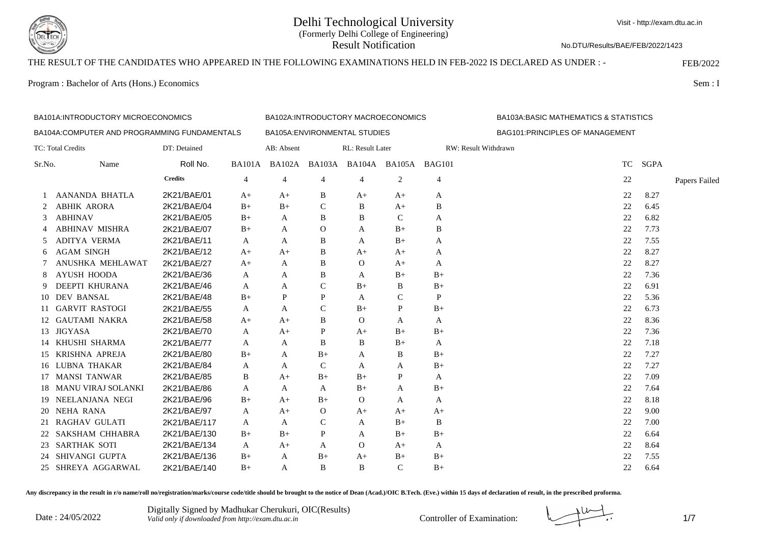

No.DTU/Results/BAE/FEB/2022/1423

# THE RESULT OF THE CANDIDATES WHO APPEARED IN THE FOLLOWING EXAMINATIONS HELD IN FEB-2022 IS DECLARED AS UNDER : - FEB/2022

Program : Bachelor of Arts (Hons.) Economics Sem : I

| BA101A: INTRODUCTORY MICROECONOMICS |                                               |                |                |                |               | BA102A:INTRODUCTORY MACROECONOMICS        |               |                |                                  | <b>BA103A:BASIC MATHEMATICS &amp; STATISTICS</b> |             |               |
|-------------------------------------|-----------------------------------------------|----------------|----------------|----------------|---------------|-------------------------------------------|---------------|----------------|----------------------------------|--------------------------------------------------|-------------|---------------|
|                                     | BA104A: COMPUTER AND PROGRAMMING FUNDAMENTALS |                |                |                |               | BA105A: ENVIRONMENTAL STUDIES             |               |                | BAG101: PRINCIPLES OF MANAGEMENT |                                                  |             |               |
|                                     | TC: Total Credits                             | DT: Detained   |                | AB: Absent     |               | RL: Result Later                          |               |                | RW: Result Withdrawn             |                                                  |             |               |
| Sr.No.                              | Name                                          | Roll No.       |                |                |               | BA101A BA102A BA103A BA104A BA105A BAG101 |               |                |                                  | <b>TC</b>                                        | <b>SGPA</b> |               |
|                                     |                                               | <b>Credits</b> | $\overline{4}$ | $\overline{4}$ | 4             | 4                                         | 2             | $\overline{4}$ |                                  | 22                                               |             | Papers Failed |
|                                     | AANANDA BHATLA                                | 2K21/BAE/01    | $A+$           | $A+$           | B             | $A+$                                      | $A+$          | A              |                                  | 22                                               | 8.27        |               |
| 2                                   | <b>ABHIK ARORA</b>                            | 2K21/BAE/04    | $B+$           | $B+$           | $\mathsf{C}$  | B                                         | $A+$          | B              |                                  | 22                                               | 6.45        |               |
| 3                                   | <b>ABHINAV</b>                                | 2K21/BAE/05    | $B+$           | A              | B             | B                                         | $\mathcal{C}$ | A              |                                  | 22                                               | 6.82        |               |
| 4                                   | <b>ABHINAV MISHRA</b>                         | 2K21/BAE/07    | $B+$           | A              | $\Omega$      | A                                         | $B+$          | B              |                                  | 22                                               | 7.73        |               |
| 5                                   | ADITYA VERMA                                  | 2K21/BAE/11    | A              | A              | B             | A                                         | $B+$          | A              |                                  | 22                                               | 7.55        |               |
| 6                                   | <b>AGAM SINGH</b>                             | 2K21/BAE/12    | $A+$           | $A+$           | B             | $A+$                                      | $A+$          | A              |                                  | 22                                               | 8.27        |               |
|                                     | ANUSHKA MEHLAWAT                              | 2K21/BAE/27    | $A+$           | A              | B             | $\Omega$                                  | $A+$          | A              |                                  | 22                                               | 8.27        |               |
| 8                                   | AYUSH HOODA                                   | 2K21/BAE/36    | A              | A              | B             | A                                         | $B+$          | $B+$           |                                  | 22                                               | 7.36        |               |
| 9                                   | DEEPTI KHURANA                                | 2K21/BAE/46    | A              | A              | $\mathcal{C}$ | $B+$                                      | B             | $B+$           |                                  | 22                                               | 6.91        |               |
| 10                                  | <b>DEV BANSAL</b>                             | 2K21/BAE/48    | $B+$           | P              | P             | A                                         | $\mathsf{C}$  | P              |                                  | 22                                               | 5.36        |               |
|                                     | 11 GARVIT RASTOGI                             | 2K21/BAE/55    | A              | A              | $\mathsf{C}$  | $B+$                                      | P             | $B+$           |                                  | 22                                               | 6.73        |               |
|                                     | 12 GAUTAMI NAKRA                              | 2K21/BAE/58    | $A+$           | $A+$           | B             | $\Omega$                                  | A             | A              |                                  | 22                                               | 8.36        |               |
| 13                                  | JIGYASA                                       | 2K21/BAE/70    | A              | $A+$           | P             | A+                                        | $B+$          | $B+$           |                                  | 22                                               | 7.36        |               |
| 14                                  | KHUSHI SHARMA                                 | 2K21/BAE/77    | A              | A              | B             | B                                         | $B+$          | A              |                                  | 22                                               | 7.18        |               |
|                                     | 15 KRISHNA APREJA                             | 2K21/BAE/80    | $B+$           | A              | $B+$          | A                                         | B             | $B+$           |                                  | 22                                               | 7.27        |               |
|                                     | 16 LUBNA THAKAR                               | 2K21/BAE/84    | A              | A              | $\mathsf{C}$  | A                                         | A             | $B+$           |                                  | 22                                               | 7.27        |               |
|                                     | 17 MANSI TANWAR                               | 2K21/BAE/85    | B              | $A+$           | $B+$          | $B+$                                      | P             | A              |                                  | 22                                               | 7.09        |               |
|                                     | 18 MANU VIRAJ SOLANKI                         | 2K21/BAE/86    | A              | A              | A             | $B+$                                      | A             | $B+$           |                                  | 22                                               | 7.64        |               |
|                                     | 19 NEELANJANA NEGI                            | 2K21/BAE/96    | $B+$           | $A+$           | $B+$          | $\Omega$                                  | A             | A              |                                  | 22                                               | 8.18        |               |
| 20                                  | <b>NEHA RANA</b>                              | 2K21/BAE/97    | A              | $A+$           | $\mathbf{O}$  | $A+$                                      | $A+$          | $A+$           |                                  | 22                                               | 9.00        |               |
| 21                                  | <b>RAGHAV GULATI</b>                          | 2K21/BAE/117   | A              | A              | $\mathsf{C}$  | A                                         | $B+$          | B              |                                  | 22                                               | 7.00        |               |
| 22                                  | SAKSHAM CHHABRA                               | 2K21/BAE/130   | $B+$           | $B+$           | P             | A                                         | $B+$          | $B+$           |                                  | 22                                               | 6.64        |               |
| 23                                  | <b>SARTHAK SOTI</b>                           | 2K21/BAE/134   | A              | $A+$           | A             | $\Omega$                                  | $A+$          | A              |                                  | 22                                               | 8.64        |               |
| 24                                  | SHIVANGI GUPTA                                | 2K21/BAE/136   | $B+$           | A              | $B+$          | $A+$                                      | $B+$          | $B+$           |                                  | 22                                               | 7.55        |               |
|                                     | 25 SHREYA AGGARWAL                            | 2K21/BAE/140   | $B+$           | A              | B             | B                                         | $\mathbf C$   | $B+$           |                                  | 22                                               | 6.64        |               |

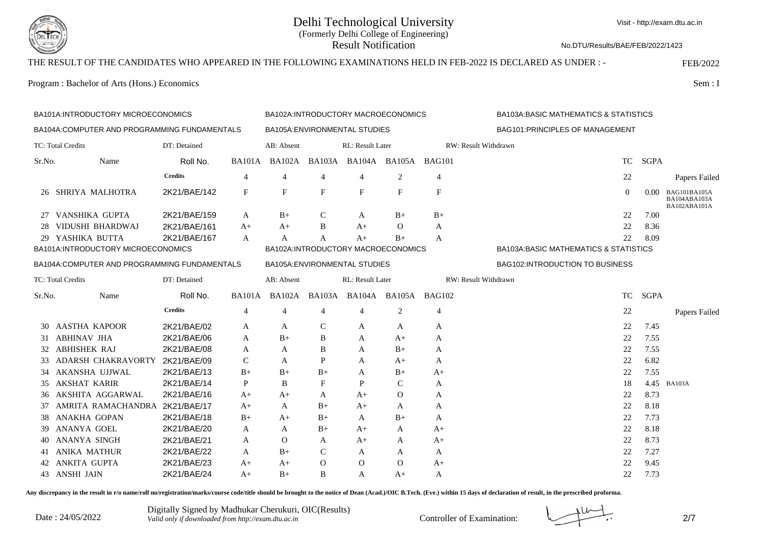

Visit - http://exam.dtu.ac.in

No.DTU/Results/BAE/FEB/2022/1423

# THE RESULT OF THE CANDIDATES WHO APPEARED IN THE FOLLOWING EXAMINATIONS HELD IN FEB-2022 IS DECLARED AS UNDER : - FEB/2022

Program : Bachelor of Arts (Hons.) Economics Sem : I

| BA101A: INTRODUCTORY MICROECONOMICS          |                                              |                |                |                |                | BA102A:INTRODUCTORY MACROECONOMICS |                      |               |                                  | <b>BA103A:BASIC MATHEMATICS &amp; STATISTICS</b> |                                              |  |
|----------------------------------------------|----------------------------------------------|----------------|----------------|----------------|----------------|------------------------------------|----------------------|---------------|----------------------------------|--------------------------------------------------|----------------------------------------------|--|
|                                              | BA104A:COMPUTER AND PROGRAMMING FUNDAMENTALS |                |                |                |                | BA105A: ENVIRONMENTAL STUDIES      |                      |               | BAG101: PRINCIPLES OF MANAGEMENT |                                                  |                                              |  |
|                                              | TC: Total Credits                            | DT: Detained   |                | AB: Absent     |                | RL: Result Later                   |                      |               | RW: Result Withdrawn             |                                                  |                                              |  |
| Sr.No.                                       | Name                                         | Roll No.       |                | BA101A BA102A  |                | BA103A BA104A BA105A               |                      | <b>BAG101</b> | <b>TC</b>                        | <b>SGPA</b>                                      |                                              |  |
|                                              |                                              | <b>Credits</b> | $\overline{4}$ | $\overline{4}$ | $\overline{4}$ | $\overline{4}$                     | 2                    | 4             | 22                               |                                                  | Papers Failed                                |  |
|                                              | 26 SHRIYA MALHOTRA                           | 2K21/BAE/142   | F              | $\mathbf{F}$   | F              | F                                  | F                    | F             | $\mathbf{0}$                     | $0.00 -$                                         | BAG101BA105A<br>BA104ABA103A<br>BA102ABA101A |  |
|                                              | 27 VANSHIKA GUPTA                            | 2K21/BAE/159   | A              | $B+$           | C              | A                                  | $B+$                 | $B+$          | 22                               | 7.00                                             |                                              |  |
| 28                                           | <b>VIDUSHI BHARDWAJ</b>                      | 2K21/BAE/161   | $A+$           | $A+$           | B              | $A+$                               | $\Omega$             | A             | 22                               | 8.36                                             |                                              |  |
|                                              | 29 YASHIKA BUTTA                             | 2K21/BAE/167   | A              | A              | A              | $A+$                               | $B+$                 | A             | 22                               | 8.09                                             |                                              |  |
|                                              | BA101A:INTRODUCTORY MICROECONOMICS           |                |                |                |                | BA102A:INTRODUCTORY MACROECONOMICS |                      |               |                                  | <b>BA103A:BASIC MATHEMATICS &amp; STATISTICS</b> |                                              |  |
| BA104A:COMPUTER AND PROGRAMMING FUNDAMENTALS |                                              |                |                |                |                | BA105A: ENVIRONMENTAL STUDIES      |                      |               | BAG102:INTRODUCTION TO BUSINESS  |                                                  |                                              |  |
|                                              | TC: Total Credits                            | DT: Detained   |                | AB: Absent     |                | RL: Result Later                   |                      |               | RW: Result Withdrawn             |                                                  |                                              |  |
| Sr.No.                                       | Name                                         | Roll No.       | <b>BA101A</b>  | <b>BA102A</b>  | <b>BA103A</b>  |                                    | BA104A BA105A BAG102 |               | <b>TC</b>                        | <b>SGPA</b>                                      |                                              |  |
|                                              |                                              | <b>Credits</b> | $\overline{4}$ | 4              | 4              | $\overline{4}$                     | 2                    | 4             | 22                               |                                                  | Papers Failed                                |  |
| 30                                           | <b>AASTHA KAPOOR</b>                         | 2K21/BAE/02    | A              | A              | C              | A                                  | A                    | A             | 22                               | 7.45                                             |                                              |  |
| 31                                           | <b>ABHINAV JHA</b>                           | 2K21/BAE/06    | A              | $B+$           | B              | A                                  | A+                   | A             | 22                               | 7.55                                             |                                              |  |
| 32                                           | <b>ABHISHEK RAJ</b>                          | 2K21/BAE/08    | A              | A              | B              | A                                  | $B+$                 | A             | 22                               | 7.55                                             |                                              |  |
|                                              | ADARSH CHAKRAVORTY 2K21/BAE/09               |                | $\mathcal{C}$  | A              | P              | A                                  | $A+$                 | A             | 22                               | 6.82                                             |                                              |  |
| 34                                           | AKANSHA UJJWAL                               | 2K21/BAE/13    | $B+$           | $B+$           | $B+$           | A                                  | $B+$                 | $A+$          | 22                               | 7.55                                             |                                              |  |
| 35                                           | <b>AKSHAT KARIR</b>                          | 2K21/BAE/14    | P              | B              | F              | P                                  | C                    | A             | 18                               | 4.45                                             | <b>BA103A</b>                                |  |
| 36                                           | AKSHITA AGGARWAL                             | 2K21/BAE/16    | $A+$           | $A+$           | A              | $A+$                               | $\Omega$             | A             | 22                               | 8.73                                             |                                              |  |
| 37                                           | AMRITA RAMACHANDRA 2K21/BAE/17               |                | A+             | A              | $B+$           | $A+$                               | A                    | A             | 22                               | 8.18                                             |                                              |  |
| 38                                           | <b>ANAKHA GOPAN</b>                          | 2K21/BAE/18    | $B+$           | $A+$           | $B+$           | A                                  | $B+$                 | A             | 22                               | 7.73                                             |                                              |  |
| 39.                                          | ANANYA GOEL                                  | 2K21/BAE/20    | A              | A              | $B+$           | A+                                 | A                    | $A+$          | 22                               | 8.18                                             |                                              |  |
|                                              | ANANYA SINGH                                 | 2K21/BAE/21    | A              | $\Omega$       | A              | $A+$                               | A                    | $A+$          | 22                               | 8.73                                             |                                              |  |
|                                              | <b>ANIKA MATHUR</b>                          | 2K21/BAE/22    | A              | $B+$           | $\mathsf{C}$   | A                                  | A                    | A             | 22                               | 7.27                                             |                                              |  |
| 42                                           | ANKITA GUPTA                                 | 2K21/BAE/23    | A+             | $A+$           | $\Omega$       | $\Omega$                           | $\Omega$             | $A+$          | 22                               | 9.45                                             |                                              |  |
|                                              | 43 ANSHI JAIN                                | 2K21/BAE/24    | $A+$           | $B+$           | B              | A                                  | A+                   | A             | 22                               | 7.73                                             |                                              |  |

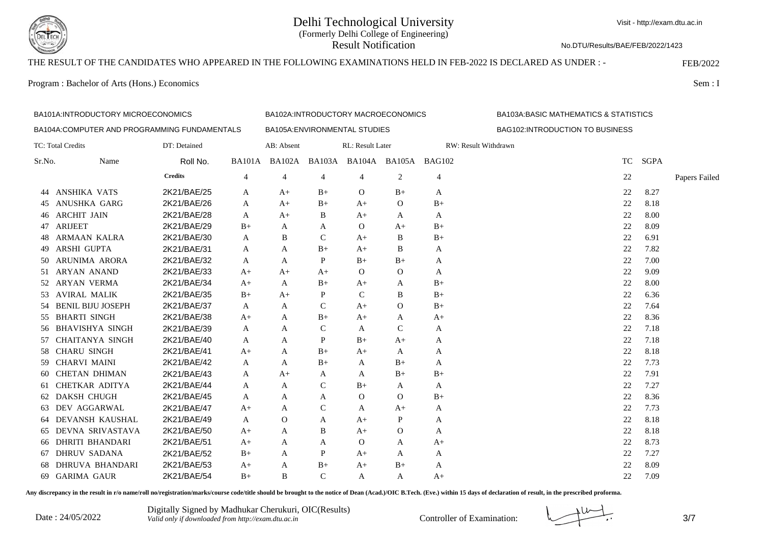

No.DTU/Results/BAE/FEB/2022/1423

# THE RESULT OF THE CANDIDATES WHO APPEARED IN THE FOLLOWING EXAMINATIONS HELD IN FEB-2022 IS DECLARED AS UNDER : - FEB/2022

Program : Bachelor of Arts (Hons.) Economics Sem : I

| BA101A:INTRODUCTORY MICROECONOMICS |                                              |                |               |               |                | BA102A:INTRODUCTORY MACROECONOMICS |                |      | <b>BA103A:BASIC MATHEMATICS &amp; STATISTICS</b> |               |  |
|------------------------------------|----------------------------------------------|----------------|---------------|---------------|----------------|------------------------------------|----------------|------|--------------------------------------------------|---------------|--|
|                                    | BA104A:COMPUTER AND PROGRAMMING FUNDAMENTALS |                |               |               |                | BA105A: ENVIRONMENTAL STUDIES      |                |      | BAG102:INTRODUCTION TO BUSINESS                  |               |  |
|                                    | TC: Total Credits                            | DT: Detained   |               | AB: Absent    |                | RL: Result Later                   |                |      | RW: Result Withdrawn                             |               |  |
| Sr.No.                             | Name                                         | Roll No.       | <b>BA101A</b> | <b>BA102A</b> |                | BA103A BA104A BA105A BAG102        |                |      | <b>TC</b>                                        | <b>SGPA</b>   |  |
|                                    |                                              | <b>Credits</b> | 4             | 4             | $\overline{4}$ | 4                                  | 2              | 4    | 22                                               | Papers Failed |  |
| 44                                 | ANSHIKA VATS                                 | 2K21/BAE/25    | A             | $A+$          | $B+$           | $\mathbf{O}$                       | $B+$           | A    | 22                                               | 8.27          |  |
| 45                                 | ANUSHKA GARG                                 | 2K21/BAE/26    | A             | $A+$          | $B+$           | $A+$                               | $\overline{O}$ | $B+$ | 22                                               | 8.18          |  |
| 46                                 | <b>ARCHIT JAIN</b>                           | 2K21/BAE/28    | A             | $A+$          | B              | $A+$                               | A              | A    | 22                                               | 8.00          |  |
| 47                                 | <b>ARIJEET</b>                               | 2K21/BAE/29    | $B+$          | A             | A              | $\mathbf{O}$                       | $A+$           | $B+$ | 22                                               | 8.09          |  |
| 48                                 | ARMAAN KALRA                                 | 2K21/BAE/30    | A             | B             | $\mathsf{C}$   | $A+$                               | B              | $B+$ | 22                                               | 6.91          |  |
| 49                                 | <b>ARSHI GUPTA</b>                           | 2K21/BAE/31    | A             | A             | $B+$           | $A+$                               | B              | A    | 22                                               | 7.82          |  |
| 50                                 | ARUNIMA ARORA                                | 2K21/BAE/32    | A             | A             | P              | $B+$                               | $B+$           | A    | 22                                               | 7.00          |  |
| 51                                 | <b>ARYAN ANAND</b>                           | 2K21/BAE/33    | $A+$          | $A+$          | $A+$           | $\Omega$                           | $\mathbf{O}$   | A    | 22                                               | 9.09          |  |
|                                    | 52 ARYAN VERMA                               | 2K21/BAE/34    | $A+$          | A             | $B+$           | $A+$                               | A              | $B+$ | 22                                               | 8.00          |  |
|                                    | 53 AVIRAL MALIK                              | 2K21/BAE/35    | $B+$          | $A+$          | P              | $\mathcal{C}$                      | B              | $B+$ | 22                                               | 6.36          |  |
| 54                                 | <b>BENIL BIJU JOSEPH</b>                     | 2K21/BAE/37    | A             | A             | $\mathcal{C}$  | $A+$                               | O              | $B+$ | 22                                               | 7.64          |  |
| 55                                 | <b>BHARTI SINGH</b>                          | 2K21/BAE/38    | $A+$          | A             | $B+$           | $A+$                               | A              | $A+$ | 22                                               | 8.36          |  |
| 56                                 | <b>BHAVISHYA SINGH</b>                       | 2K21/BAE/39    | A             | $\mathsf{A}$  | $\mathcal{C}$  | A                                  | $\mathsf{C}$   | A    | 22                                               | 7.18          |  |
|                                    | 57 CHAITANYA SINGH                           | 2K21/BAE/40    | A             | A             | P              | $B+$                               | $A+$           | A    | 22                                               | 7.18          |  |
| 58                                 | <b>CHARU SINGH</b>                           | 2K21/BAE/41    | $A+$          | A             | $B+$           | $A+$                               | A              | A    | 22                                               | 8.18          |  |
| 59.                                | <b>CHARVI MAINI</b>                          | 2K21/BAE/42    | A             | A             | $B+$           | A                                  | $B+$           | A    | 22                                               | 7.73          |  |
| 60.                                | <b>CHETAN DHIMAN</b>                         | 2K21/BAE/43    | A             | $A+$          | A              | A                                  | $B+$           | $B+$ | 22                                               | 7.91          |  |
| 61                                 | <b>CHETKAR ADITYA</b>                        | 2K21/BAE/44    | A             | A             | $\mathcal{C}$  | $B+$                               | A              | A    | 22                                               | 7.27          |  |
| 62                                 | <b>DAKSH CHUGH</b>                           | 2K21/BAE/45    | A             | A             | A              | $\mathbf{O}$                       | O              | $B+$ | 22                                               | 8.36          |  |
| 63                                 | DEV AGGARWAL                                 | 2K21/BAE/47    | $A+$          | A             | $\mathcal{C}$  | A                                  | $A+$           | A    | 22                                               | 7.73          |  |
| 64                                 | DEVANSH KAUSHAL                              | 2K21/BAE/49    | A             | $\Omega$      | A              | $A+$                               | P              | A    | 22                                               | 8.18          |  |
| 65                                 | DEVNA SRIVASTAVA                             | 2K21/BAE/50    | $A+$          | A             | B              | $A+$                               | $\mathbf{O}$   | A    | 22                                               | 8.18          |  |
| 66                                 | <b>DHRITI BHANDARI</b>                       | 2K21/BAE/51    | $A+$          | A             | A              | $\mathbf{O}$                       | A              | $A+$ | 22                                               | 8.73          |  |
| 67                                 | <b>DHRUV SADANA</b>                          | 2K21/BAE/52    | $B+$          | A             | P              | $A+$                               | A              | A    | 22                                               | 7.27          |  |
| 68                                 | <b>DHRUVA BHANDARI</b>                       | 2K21/BAE/53    | $A+$          | A             | $B+$           | $A+$                               | $B+$           | A    | 22                                               | 8.09          |  |
|                                    | 69 GARIMA GAUR                               | 2K21/BAE/54    | $B+$          | B             | $\mathcal{C}$  | A                                  | A              | $A+$ | 22                                               | 7.09          |  |

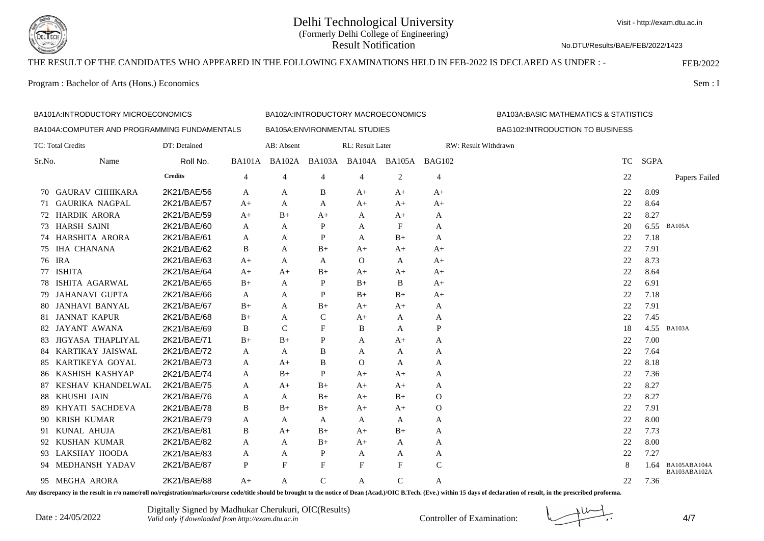

Visit - http://exam.dtu.ac.in

No.DTU/Results/BAE/FEB/2022/1423

## THE RESULT OF THE CANDIDATES WHO APPEARED IN THE FOLLOWING EXAMINATIONS HELD IN FEB-2022 IS DECLARED AS UNDER : - FEB/2022

Program : Bachelor of Arts (Hons.) Economics Sem : I

|        | BA101A: INTRODUCTORY MICROECONOMICS          |                |             |                | BA102A:INTRODUCTORY MACROECONOMICS |                               |               |                | <b>BA103A:BASIC MATHEMATICS &amp; STATISTICS</b> |             |                              |
|--------|----------------------------------------------|----------------|-------------|----------------|------------------------------------|-------------------------------|---------------|----------------|--------------------------------------------------|-------------|------------------------------|
|        | BA104A:COMPUTER AND PROGRAMMING FUNDAMENTALS |                |             |                |                                    | BA105A: ENVIRONMENTAL STUDIES |               |                | BAG102:INTRODUCTION TO BUSINESS                  |             |                              |
|        | TC: Total Credits                            | DT: Detained   |             | AB: Absent     |                                    | RL: Result Later              |               |                | RW: Result Withdrawn                             |             |                              |
| Sr.No. | Name                                         | Roll No.       | BA101A      | BA102A         | <b>BA103A</b>                      |                               | BA104A BA105A | <b>BAG102</b>  | <b>TC</b>                                        | <b>SGPA</b> |                              |
|        |                                              | <b>Credits</b> | 4           | $\overline{4}$ | 4                                  | 4                             | 2             | $\overline{4}$ | 22                                               |             | Papers Failed                |
| 70     | <b>GAURAV CHHIKARA</b>                       | 2K21/BAE/56    | A           | A              | B                                  | $A+$                          | $A+$          | $A+$           | 22                                               | 8.09        |                              |
| 71     | <b>GAURIKA NAGPAL</b>                        | 2K21/BAE/57    | $A+$        | A              | A                                  | $A+$                          | $A+$          | $A+$           | 22                                               | 8.64        |                              |
|        | 72 HARDIK ARORA                              | 2K21/BAE/59    | $A+$        | $B+$           | $A+$                               | A                             | $A+$          | A              | 22                                               | 8.27        |                              |
|        | 73 HARSH SAINI                               | 2K21/BAE/60    | A           | A              | P                                  | A                             | F             | A              | 20                                               |             | 6.55 BA105A                  |
| 74     | HARSHITA ARORA                               | 2K21/BAE/61    | A           | A              | P                                  | A                             | $B+$          | A              | 22                                               | 7.18        |                              |
| 75     | <b>IHA CHANANA</b>                           | 2K21/BAE/62    | B           | A              | $B+$                               | $A+$                          | $A+$          | $A+$           | 22                                               | 7.91        |                              |
|        | 76 IRA                                       | 2K21/BAE/63    | $A+$        | A              | A                                  | $\Omega$                      | A             | $A+$           | 22                                               | 8.73        |                              |
| 77     | <b>ISHITA</b>                                | 2K21/BAE/64    | $A+$        | A+             | B+                                 | $A+$                          | A+            | $A+$           | 22                                               | 8.64        |                              |
| 78     | ISHITA AGARWAL                               | 2K21/BAE/65    | $B+$        | A              | P                                  | $B+$                          | B             | $A+$           | 22                                               | 6.91        |                              |
| 79.    | <b>JAHANAVI GUPTA</b>                        | 2K21/BAE/66    | A           | A              | P                                  | $B+$                          | $B+$          | $A+$           | 22                                               | 7.18        |                              |
| -80    | <b>JANHAVI BANYAL</b>                        | 2K21/BAE/67    | $B+$        | A              | $B+$                               | $A+$                          | $A+$          | A              | 22                                               | 7.91        |                              |
| 81.    | <b>JANNAT KAPUR</b>                          | 2K21/BAE/68    | $_{\rm B+}$ | A              | C                                  | $A+$                          | A             | A              | 22                                               | 7.45        |                              |
| 82     | JAYANT AWANA                                 | 2K21/BAE/69    | B           | $\mathcal{C}$  | F                                  | B                             | A             | P              | 18                                               |             | 4.55 BA103A                  |
| 83     | JIGYASA THAPLIYAL                            | 2K21/BAE/71    | $B+$        | $B+$           | P                                  | A                             | $A+$          | А              | 22                                               | 7.00        |                              |
| 84.    | KARTIKAY JAISWAL                             | 2K21/BAE/72    | A           | A              | B                                  | A                             | A             | A              | 22                                               | 7.64        |                              |
|        | 85 KARTIKEYA GOYAL                           | 2K21/BAE/73    | A           | $A+$           | B                                  | $\Omega$                      | A             | A              | 22                                               | 8.18        |                              |
| 86     | KASHISH KASHYAP                              | 2K21/BAE/74    | A           | $B+$           | P                                  | $A+$                          | $A+$          | A              | 22                                               | 7.36        |                              |
| 87     | KESHAV KHANDELWAL                            | 2K21/BAE/75    | A           | $A+$           | $_{\rm B+}$                        | $A+$                          | $A+$          | A              | 22                                               | 8.27        |                              |
| 88     | KHUSHI JAIN                                  | 2K21/BAE/76    | A           | $\mathsf{A}$   | $B+$                               | $A+$                          | $B+$          | O              | 22                                               | 8.27        |                              |
| 89.    | KHYATI SACHDEVA                              | 2K21/BAE/78    | B           | $B+$           | $B+$                               | $A+$                          | $A+$          | O              | 22                                               | 7.91        |                              |
| 90.    | <b>KRISH KUMAR</b>                           | 2K21/BAE/79    | A           | A              | A                                  | A                             | A             | A              | 22                                               | 8.00        |                              |
| 91     | KUNAL AHUJA                                  | 2K21/BAE/81    | B           | $A+$           | $_{\rm B+}$                        | $A+$                          | $B+$          | A              | 22                                               | 7.73        |                              |
|        | 92 KUSHAN KUMAR                              | 2K21/BAE/82    | A           | A              | $B+$                               | $A+$                          | A             | A              | 22                                               | 8.00        |                              |
|        | 93 LAKSHAY HOODA                             | 2K21/BAE/83    | A           | A              | P                                  | A                             | A             | A              | 22                                               | 7.27        |                              |
|        | 94 MEDHANSH YADAV                            | 2K21/BAE/87    | P           | F              | F                                  | F                             | F             | $\mathsf{C}$   | 8                                                | 1.64        | BA105ABA104A<br>BA103ABA102A |
|        | 95 MEGHA ARORA                               | 2K21/BAE/88    | $A+$        | A              | $\mathcal{C}$                      | A                             | $\mathcal{C}$ | A              | 22                                               | 7.36        |                              |

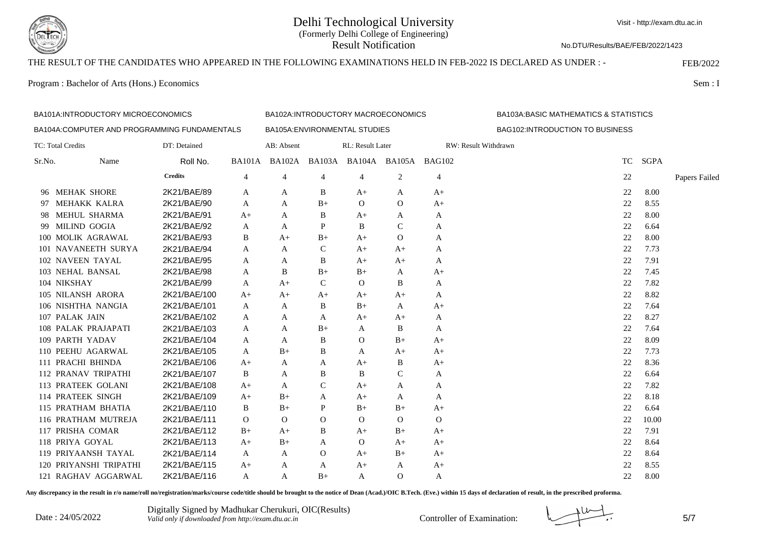

No.DTU/Results/BAE/FEB/2022/1423

## THE RESULT OF THE CANDIDATES WHO APPEARED IN THE FOLLOWING EXAMINATIONS HELD IN FEB-2022 IS DECLARED AS UNDER : - FEB/2022

Program : Bachelor of Arts (Hons.) Economics Sem : I

|        | BA101A:INTRODUCTORY MICROECONOMICS           |                |               | BA102A:INTRODUCTORY MACROECONOMICS |               |                               | <b>BA103A:BASIC MATHEMATICS &amp; STATISTICS</b> |               |                                 |             |               |
|--------|----------------------------------------------|----------------|---------------|------------------------------------|---------------|-------------------------------|--------------------------------------------------|---------------|---------------------------------|-------------|---------------|
|        | BA104A:COMPUTER AND PROGRAMMING FUNDAMENTALS |                |               |                                    |               | BA105A: ENVIRONMENTAL STUDIES |                                                  |               | BAG102:INTRODUCTION TO BUSINESS |             |               |
|        | TC: Total Credits                            | DT: Detained   |               | AB: Absent                         |               | RL: Result Later              |                                                  |               | RW: Result Withdrawn            |             |               |
| Sr.No. | Name                                         | Roll No.       | <b>BA101A</b> | <b>BA102A</b>                      |               | BA103A BA104A BA105A          |                                                  | <b>BAG102</b> | <b>TC</b>                       | <b>SGPA</b> |               |
|        |                                              | <b>Credits</b> | 4             | 4                                  | 4             | $\overline{4}$                | 2                                                | 4             | 22                              |             | Papers Failed |
|        | 96 MEHAK SHORE                               | 2K21/BAE/89    | A             | A                                  | B             | $A+$                          | A                                                | $A+$          | 22                              | 8.00        |               |
| 97.    | MEHAKK KALRA                                 | 2K21/BAE/90    | A             | A                                  | $B+$          | $\Omega$                      | $\mathbf{O}$                                     | $A+$          | 22                              | 8.55        |               |
| 98.    | MEHUL SHARMA                                 | 2K21/BAE/91    | $A+$          | A                                  | B             | $A+$                          | A                                                | A             | 22                              | 8.00        |               |
| 99.    | <b>MILIND GOGIA</b>                          | 2K21/BAE/92    | A             | A                                  | P             | B                             | C                                                | A             | 22                              | 6.64        |               |
|        | 100 MOLIK AGRAWAL                            | 2K21/BAE/93    | B             | $A+$                               | $B+$          | $A+$                          | $\mathbf{O}$                                     | A             | 22                              | 8.00        |               |
|        | 101 NAVANEETH SURYA                          | 2K21/BAE/94    | A             | A                                  | $\mathcal{C}$ | $A+$                          | $A+$                                             | A             | 22                              | 7.73        |               |
|        | 102 NAVEEN TAYAL                             | 2K21/BAE/95    | A             | Α                                  | B             | $A+$                          | $A+$                                             | A             | 22                              | 7.91        |               |
|        | 103 NEHAL BANSAL                             | 2K21/BAE/98    | A             | B                                  | $B+$          | $B+$                          | A                                                | $A+$          | 22                              | 7.45        |               |
|        | 104 NIKSHAY                                  | 2K21/BAE/99    | A             | $A+$                               | $\mathcal{C}$ | $\Omega$                      | B                                                | A             | 22                              | 7.82        |               |
|        | 105 NILANSH ARORA                            | 2K21/BAE/100   | $A+$          | $A+$                               | $A+$          | $A+$                          | $A+$                                             | A             | 22                              | 8.82        |               |
|        | 106 NISHTHA NANGIA                           | 2K21/BAE/101   | A             | A                                  | B             | $B+$                          | A                                                | $A+$          | 22                              | 7.64        |               |
|        | 107 PALAK JAIN                               | 2K21/BAE/102   | A             | Α                                  | A             | $A+$                          | $A+$                                             | A             | 22                              | 8.27        |               |
|        | 108 PALAK PRAJAPATI                          | 2K21/BAE/103   | A             | A                                  | $B+$          | A                             | B                                                | A             | 22                              | 7.64        |               |
|        | 109 PARTH YADAV                              | 2K21/BAE/104   | A             | A                                  | B             | $\Omega$                      | $B+$                                             | $A+$          | 22                              | 8.09        |               |
|        | 110 PEEHU AGARWAL                            | 2K21/BAE/105   | A             | $B+$                               | B             | A                             | $A+$                                             | $A+$          | 22                              | 7.73        |               |
|        | 111 PRACHI BHINDA                            | 2K21/BAE/106   | $A+$          | A                                  | A             | $A+$                          | B                                                | $A+$          | 22                              | 8.36        |               |
|        | 112 PRANAV TRIPATHI                          | 2K21/BAE/107   | B             | A                                  | B             | B                             | $\mathcal{C}$                                    | A             | 22                              | 6.64        |               |
|        | 113 PRATEEK GOLANI                           | 2K21/BAE/108   | $A+$          | А                                  | $\mathcal{C}$ | $A+$                          | A                                                | A             | 22                              | 7.82        |               |
|        | 114 PRATEEK SINGH                            | 2K21/BAE/109   | $A+$          | $B+$                               | A             | $A+$                          | A                                                | A             | 22                              | 8.18        |               |
|        | 115 PRATHAM BHATIA                           | 2K21/BAE/110   | B             | $B+$                               | P             | $B+$                          | $B+$                                             | $A+$          | 22                              | 6.64        |               |
|        | 116 PRATHAM MUTREJA                          | 2K21/BAE/111   | $\Omega$      | $\Omega$                           | $\Omega$      | $\Omega$                      | $\mathbf{O}$                                     | $\Omega$      | 22                              | 10.00       |               |
|        | 117 PRISHA COMAR                             | 2K21/BAE/112   | $B+$          | $A+$                               | B             | $A+$                          | $B+$                                             | $A+$          | 22                              | 7.91        |               |
|        | 118 PRIYA GOYAL                              | 2K21/BAE/113   | $A+$          | $B+$                               | A             | $\mathbf{O}$                  | $A+$                                             | $A+$          | 22                              | 8.64        |               |
|        | 119 PRIYAANSH TAYAL                          | 2K21/BAE/114   | A             | A                                  | $\Omega$      | $A+$                          | $B+$                                             | $A+$          | 22                              | 8.64        |               |
|        | 120 PRIYANSHI TRIPATHI                       | 2K21/BAE/115   | $A+$          | А                                  | A             | $A+$                          | A                                                | $A+$          | 22                              | 8.55        |               |
|        | 121 RAGHAV AGGARWAL                          | 2K21/BAE/116   | A             | A                                  | $B+$          | A                             | $\Omega$                                         | A             | 22                              | 8.00        |               |

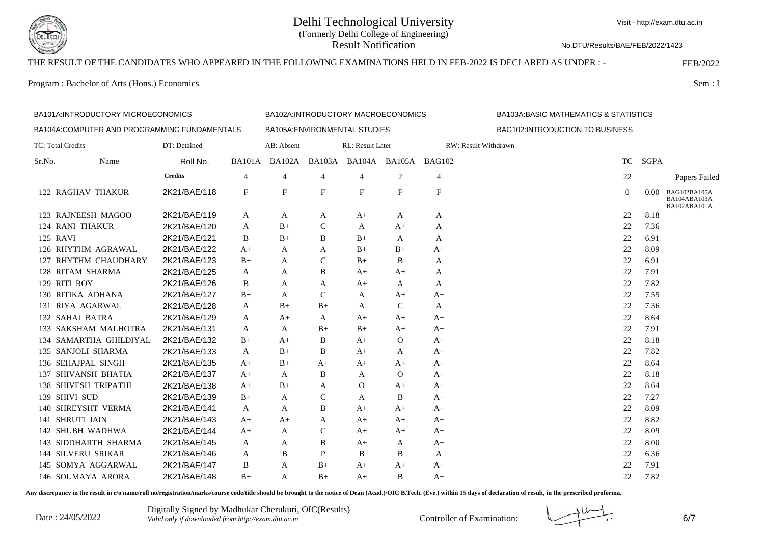

No.DTU/Results/BAE/FEB/2022/1423

# THE RESULT OF THE CANDIDATES WHO APPEARED IN THE FOLLOWING EXAMINATIONS HELD IN FEB-2022 IS DECLARED AS UNDER : - FEB/2022

Program : Bachelor of Arts (Hons.) Economics Sem : I

|                                              | BA101A:INTRODUCTORY MICROECONOMICS |                |               |                           | BA102A:INTRODUCTORY MACROECONOMICS |                               |                           | <b>BA103A:BASIC MATHEMATICS &amp; STATISTICS</b> |                                 |      |                                              |
|----------------------------------------------|------------------------------------|----------------|---------------|---------------------------|------------------------------------|-------------------------------|---------------------------|--------------------------------------------------|---------------------------------|------|----------------------------------------------|
| BA104A:COMPUTER AND PROGRAMMING FUNDAMENTALS |                                    |                |               |                           |                                    | BA105A: ENVIRONMENTAL STUDIES |                           |                                                  | BAG102:INTRODUCTION TO BUSINESS |      |                                              |
| TC: Total Credits                            |                                    | DT: Detained   |               | AB: Absent                |                                    | RL: Result Later              |                           |                                                  | RW: Result Withdrawn            |      |                                              |
| Sr.No.                                       | Name                               | Roll No.       | <b>BA101A</b> | <b>BA102A</b>             |                                    | BA103A BA104A BA105A BAG102   |                           |                                                  | <b>TC</b>                       | SGPA |                                              |
|                                              |                                    | <b>Credits</b> | 4             | 4                         | $\overline{4}$                     | 4                             | 2                         | 4                                                | 22                              |      | Papers Failed                                |
|                                              | 122 RAGHAV THAKUR                  | 2K21/BAE/118   | $_{\rm F}$    | $\boldsymbol{\mathrm{F}}$ | $\mathbf{F}$                       | F                             | $\boldsymbol{\mathrm{F}}$ | $\boldsymbol{\mathrm{F}}$                        | $\overline{0}$                  | 0.00 | BAG102BA105A<br>BA104ABA103A<br>BA102ABA101A |
|                                              | 123 RAJNEESH MAGOO                 | 2K21/BAE/119   | A             | A                         | A                                  | A+                            | A                         | A                                                | 22                              | 8.18 |                                              |
|                                              | <b>124 RANI THAKUR</b>             | 2K21/BAE/120   | A             | $B+$                      | $\mathcal{C}$                      | A                             | $A+$                      | A                                                | 22                              | 7.36 |                                              |
| 125 RAVI                                     |                                    | 2K21/BAE/121   | B             | $B+$                      | B                                  | $B+$                          | A                         | A                                                | 22                              | 6.91 |                                              |
|                                              | 126 RHYTHM AGRAWAL                 | 2K21/BAE/122   | $A+$          | A                         | A                                  | $B+$                          | $B+$                      | $A+$                                             | 22                              | 8.09 |                                              |
|                                              | 127 RHYTHM CHAUDHARY               | 2K21/BAE/123   | $B+$          | A                         | $\mathcal{C}$                      | $B+$                          | B                         | A                                                | 22                              | 6.91 |                                              |
|                                              | 128 RITAM SHARMA                   | 2K21/BAE/125   | A             | A                         | B                                  | A+                            | $A+$                      | A                                                | 22                              | 7.91 |                                              |
|                                              | 129 RITI ROY                       | 2K21/BAE/126   | B             | A                         | A                                  | $A+$                          | A                         | A                                                | 22                              | 7.82 |                                              |
|                                              | 130 RITIKA ADHANA                  | 2K21/BAE/127   | $B+$          | A                         | $\mathcal{C}$                      | A                             | $A+$                      | $A+$                                             | 22                              | 7.55 |                                              |
|                                              | 131 RIYA AGARWAL                   | 2K21/BAE/128   | A             | $B+$                      | $B+$                               | A                             | $\mathsf{C}$              | A                                                | 22                              | 7.36 |                                              |
|                                              | 132 SAHAJ BATRA                    | 2K21/BAE/129   | A             | $A+$                      | A                                  | A+                            | $A+$                      | $A+$                                             | 22                              | 8.64 |                                              |
|                                              | 133 SAKSHAM MALHOTRA               | 2K21/BAE/131   | A             | A                         | $B+$                               | $B+$                          | $A+$                      | $A+$                                             | 22                              | 7.91 |                                              |
|                                              | 134 SAMARTHA GHILDIYAL             | 2K21/BAE/132   | $B+$          | $A+$                      | B                                  | $A+$                          | $\Omega$                  | $A+$                                             | 22                              | 8.18 |                                              |
|                                              | 135 SANJOLI SHARMA                 | 2K21/BAE/133   | A             | $B+$                      | B                                  | $A+$                          | A                         | $A+$                                             | 22                              | 7.82 |                                              |
|                                              | 136 SEHAJPAL SINGH                 | 2K21/BAE/135   | $A+$          | $B+$                      | $A+$                               | $A+$                          | $A+$                      | $A+$                                             | 22                              | 8.64 |                                              |
|                                              | 137 SHIVANSH BHATIA                | 2K21/BAE/137   | $A+$          | A                         | B                                  | A                             | $\mathbf{O}$              | $A+$                                             | 22                              | 8.18 |                                              |
|                                              | <b>138 SHIVESH TRIPATHI</b>        | 2K21/BAE/138   | $A+$          | $B+$                      | A                                  | $\Omega$                      | $A+$                      | $A+$                                             | 22                              | 8.64 |                                              |
|                                              | 139 SHIVI SUD                      | 2K21/BAE/139   | $B+$          | A                         | $\mathsf{C}$                       | A                             | B                         | $A+$                                             | 22                              | 7.27 |                                              |
|                                              | 140 SHREYSHT VERMA                 | 2K21/BAE/141   | A             | A                         | B                                  | $A+$                          | $A+$                      | $A+$                                             | 22                              | 8.09 |                                              |
|                                              | 141 SHRUTI JAIN                    | 2K21/BAE/143   | $A+$          | A+                        | A                                  | $A+$                          | $A+$                      | $A+$                                             | 22                              | 8.82 |                                              |
|                                              | 142 SHUBH WADHWA                   | 2K21/BAE/144   | $A+$          | A                         | $\mathcal{C}$                      | A+                            | $A+$                      | $A+$                                             | 22                              | 8.09 |                                              |
|                                              | 143 SIDDHARTH SHARMA               | 2K21/BAE/145   | A             | A                         | B                                  | $A+$                          | A                         | $A+$                                             | 22                              | 8.00 |                                              |
|                                              | <b>144 SILVERU SRIKAR</b>          | 2K21/BAE/146   | A             | B                         | P                                  | B                             | B                         | A                                                | 22                              | 6.36 |                                              |
|                                              | 145 SOMYA AGGARWAL                 | 2K21/BAE/147   | B             | A                         | $B+$                               | A+                            | $A+$                      | $A+$                                             | 22                              | 7.91 |                                              |
|                                              | 146 SOUMAYA ARORA                  | 2K21/BAE/148   | $B+$          | A                         | $B+$                               | A+                            | B                         | $A+$                                             | 22                              | 7.82 |                                              |